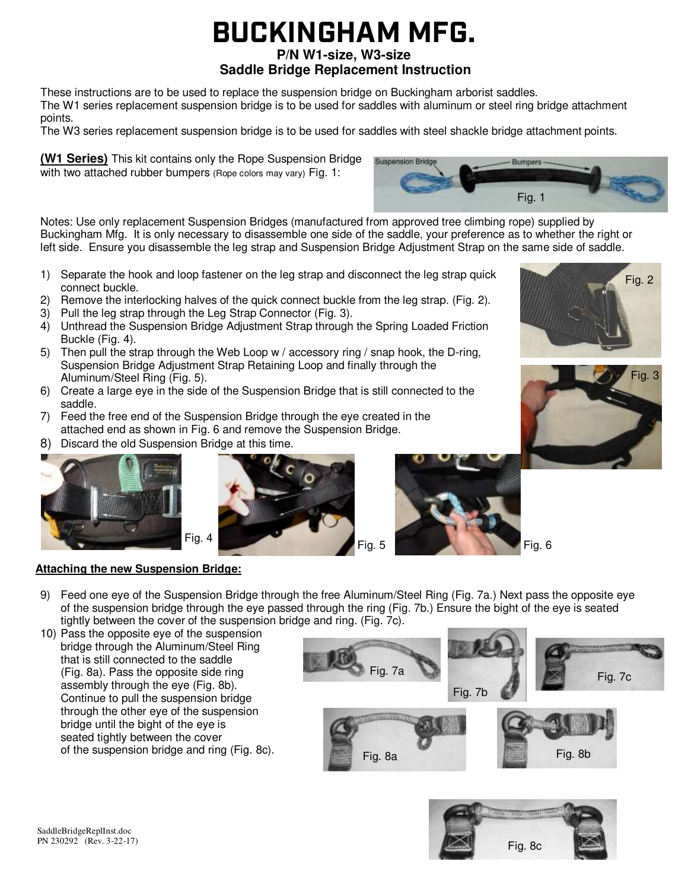# **BUCKINGHAM MFG.**

# **P/N W1-size, W3-size**

# **Saddle Bridge Replacement Instruction**

**Suspension Bridge** 

These instructions are to be used to replace the suspension bridge on Buckingham arborist saddles. The W1 series replacement suspension bridge is to be used for saddles with aluminum or steel ring bridge attachment

points.

The W3 series replacement suspension bridge is to be used for saddles with steel shackle bridge attachment points.

**(W1 Series)** This kit contains only the Rope Suspension Bridge with two attached rubber bumpers (Rope colors may vary) Fig. 1:

Fig. 1

Notes: Use only replacement Suspension Bridges (manufactured from approved tree climbing rope) supplied by Buckingham Mfg. It is only necessary to disassemble one side of the saddle, your preference as to whether the right or left side. Ensure you disassemble the leg strap and Suspension Bridge Adjustment Strap on the same side of saddle.

- 1) Separate the hook and loop fastener on the leg strap and disconnect the leg strap quick connect buckle.
- 2) Remove the interlocking halves of the quick connect buckle from the leg strap. (Fig. 2).
- 3) Pull the leg strap through the Leg Strap Connector (Fig. 3).
- 4) Unthread the Suspension Bridge Adjustment Strap through the Spring Loaded Friction Buckle (Fig. 4).
- 5) Then pull the strap through the Web Loop w / accessory ring / snap hook, the D-ring, Suspension Bridge Adjustment Strap Retaining Loop and finally through the Aluminum/Steel Ring (Fig. 5).
- 6) Create a large eye in the side of the Suspension Bridge that is still connected to the saddle.
- 7) Feed the free end of the Suspension Bridge through the eye created in the attached end as shown in Fig. 6 and remove the Suspension Bridge.
- 8) Discard the old Suspension Bridge at this time.



**Attaching the new Suspension Bridge:** 





#### 9) Feed one eye of the Suspension Bridge through the free Aluminum/Steel Ring (Fig. 7a.) Next pass the opposite eye of the suspension bridge through the eye passed through the ring (Fig. 7b.) Ensure the bight of the eye is seated tightly between the cover of the suspension bridge and ring. (Fig. 7c).

10) Pass the opposite eye of the suspension bridge through the Aluminum/Steel Ring that is still connected to the saddle (Fig. 8a). Pass the opposite side ring assembly through the eye (Fig. 8b). Continue to pull the suspension bridge through the other eye of the suspension bridge until the bight of the eye is seated tightly between the cover of the suspension bridge and ring (Fig. 8c).









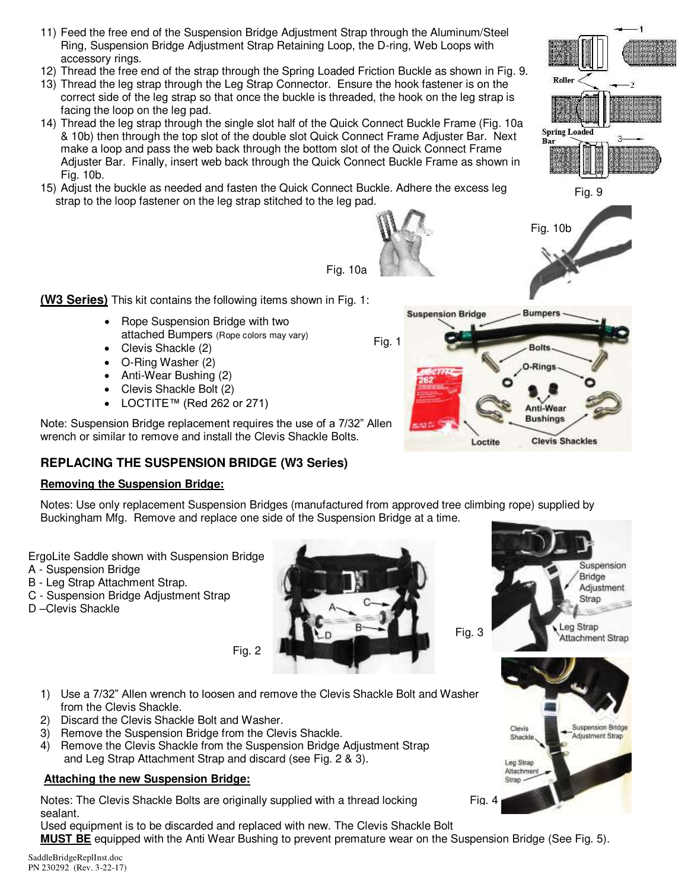- 11) Feed the free end of the Suspension Bridge Adjustment Strap through the Aluminum/Steel Ring, Suspension Bridge Adjustment Strap Retaining Loop, the D-ring, Web Loops with accessory rings.
- 12) Thread the free end of the strap through the Spring Loaded Friction Buckle as shown in Fig. 9.
- 13) Thread the leg strap through the Leg Strap Connector. Ensure the hook fastener is on the correct side of the leg strap so that once the buckle is threaded, the hook on the leg strap is facing the loop on the leg pad.
- 14) Thread the leg strap through the single slot half of the Quick Connect Buckle Frame (Fig. 10a & 10b) then through the top slot of the double slot Quick Connect Frame Adjuster Bar. Next make a loop and pass the web back through the bottom slot of the Quick Connect Frame Adjuster Bar. Finally, insert web back through the Quick Connect Buckle Frame as shown in Fig. 10b.
- 15) Adjust the buckle as needed and fasten the Quick Connect Buckle. Adhere the excess leg strap to the loop fastener on the leg strap stitched to the leg pad.

**(W3 Series)** This kit contains the following items shown in Fig. 1:

- Rope Suspension Bridge with two attached Bumpers (Rope colors may vary)
- Clevis Shackle (2)
- O-Ring Washer (2)
- Anti-Wear Bushing (2)
- Clevis Shackle Bolt (2)
- LOCTITE™ (Red 262 or 271)

Note: Suspension Bridge replacement requires the use of a 7/32" Allen wrench or similar to remove and install the Clevis Shackle Bolts.

# **REPLACING THE SUSPENSION BRIDGE (W3 Series)**

#### **Removing the Suspension Bridge:**

Notes: Use only replacement Suspension Bridges (manufactured from approved tree climbing rope) supplied by Buckingham Mfg. Remove and replace one side of the Suspension Bridge at a time.

Fig. 10a

ErgoLite Saddle shown with Suspension Bridge

- A Suspension Bridge
- B Leg Strap Attachment Strap.
- C Suspension Bridge Adjustment Strap
- D –Clevis Shackle

SaddleBridgeReplInst.doc PN 230292 (Rev. 3-22-17) Fig. 2

- 1) Use a 7/32" Allen wrench to loosen and remove the Clevis Shackle Bolt and Washer from the Clevis Shackle.
- 2) Discard the Clevis Shackle Bolt and Washer.
- 3) Remove the Suspension Bridge from the Clevis Shackle.
- 4) Remove the Clevis Shackle from the Suspension Bridge Adjustment Strap and Leg Strap Attachment Strap and discard (see Fig. 2 & 3).

# **Attaching the new Suspension Bridge:**

Notes: The Clevis Shackle Bolts are originally supplied with a thread locking sealant.

Used equipment is to be discarded and replaced with new. The Clevis Shackle Bolt **MUST BE** equipped with the Anti Wear Bushing to prevent premature wear on the Suspension Bridge (See Fig. 5).





Fig. 4







Fig. 10b

Roller